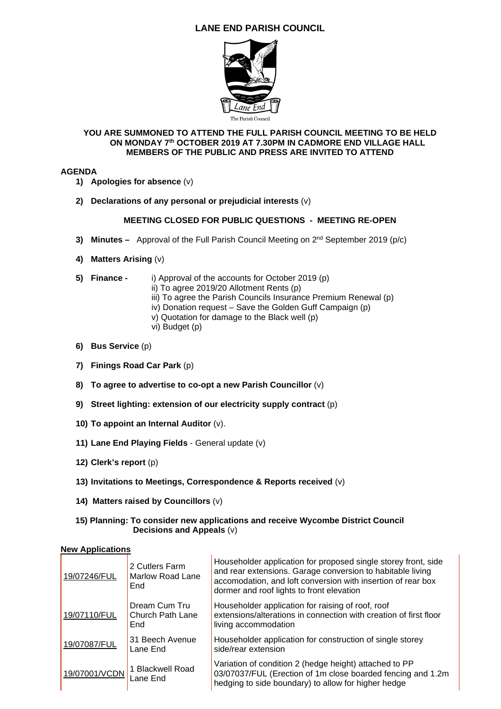# **LANE END PARISH COUNCIL**



### **YOU ARE SUMMONED TO ATTEND THE FULL PARISH COUNCIL MEETING TO BE HELD ON MONDAY 7th OCTOBER 2019 AT 7.30PM IN CADMORE END VILLAGE HALL MEMBERS OF THE PUBLIC AND PRESS ARE INVITED TO ATTEND**

### **AGENDA**

- **1) Apologies for absence** (v)
- **2) Declarations of any personal or prejudicial interests** (v)

## **MEETING CLOSED FOR PUBLIC QUESTIONS - MEETING RE-OPEN**

- **3) Minutes** Approval of the Full Parish Council Meeting on 2nd September 2019 (p/c)
- **4) Matters Arising** (v)
- **5) Finance** i) Approval of the accounts for October 2019 (p)
	- ii) To agree 2019/20 Allotment Rents (p)
	- iii) To agree the Parish Councils Insurance Premium Renewal (p)
	- iv) Donation request Save the Golden Guff Campaign (p)
	- v) Quotation for damage to the Black well (p)
	- vi) Budget (p)
- **6) Bus Service** (p)
- **7) Finings Road Car Park** (p)
- **8) To agree to advertise to co-opt a new Parish Councillor** (v)
- **9) Street lighting: extension of our electricity supply contract** (p)
- **10) To appoint an Internal Auditor** (v).
- **11) Lane End Playing Fields** General update (v)
- **12) Clerk's report** (p)
- **13) Invitations to Meetings, Correspondence & Reports received** (v)
- **14) Matters raised by Councillors** (v)

#### **15) Planning: To consider new applications and receive Wycombe District Council Decisions and Appeals** (v)

### **New Applications**

| 19/07246/FUL  | 2 Cutlers Farm<br>Marlow Road Lane<br>End | Householder application for proposed single storey front, side<br>and rear extensions. Garage conversion to habitable living<br>accomodation, and loft conversion with insertion of rear box<br>dormer and roof lights to front elevation |
|---------------|-------------------------------------------|-------------------------------------------------------------------------------------------------------------------------------------------------------------------------------------------------------------------------------------------|
| 19/07110/FUL  | Dream Cum Tru<br>Church Path Lane<br>End  | Householder application for raising of roof, roof<br>extensions/alterations in connection with creation of first floor<br>living accommodation                                                                                            |
| 19/07087/FUL  | 31 Beech Avenue<br>Lane End               | Householder application for construction of single storey<br>side/rear extension                                                                                                                                                          |
| 19/07001/VCDN | 1 Blackwell Road<br>Lane End              | Variation of condition 2 (hedge height) attached to PP<br>03/07037/FUL (Erection of 1m close boarded fencing and 1.2m<br>hedging to side boundary) to allow for higher hedge                                                              |